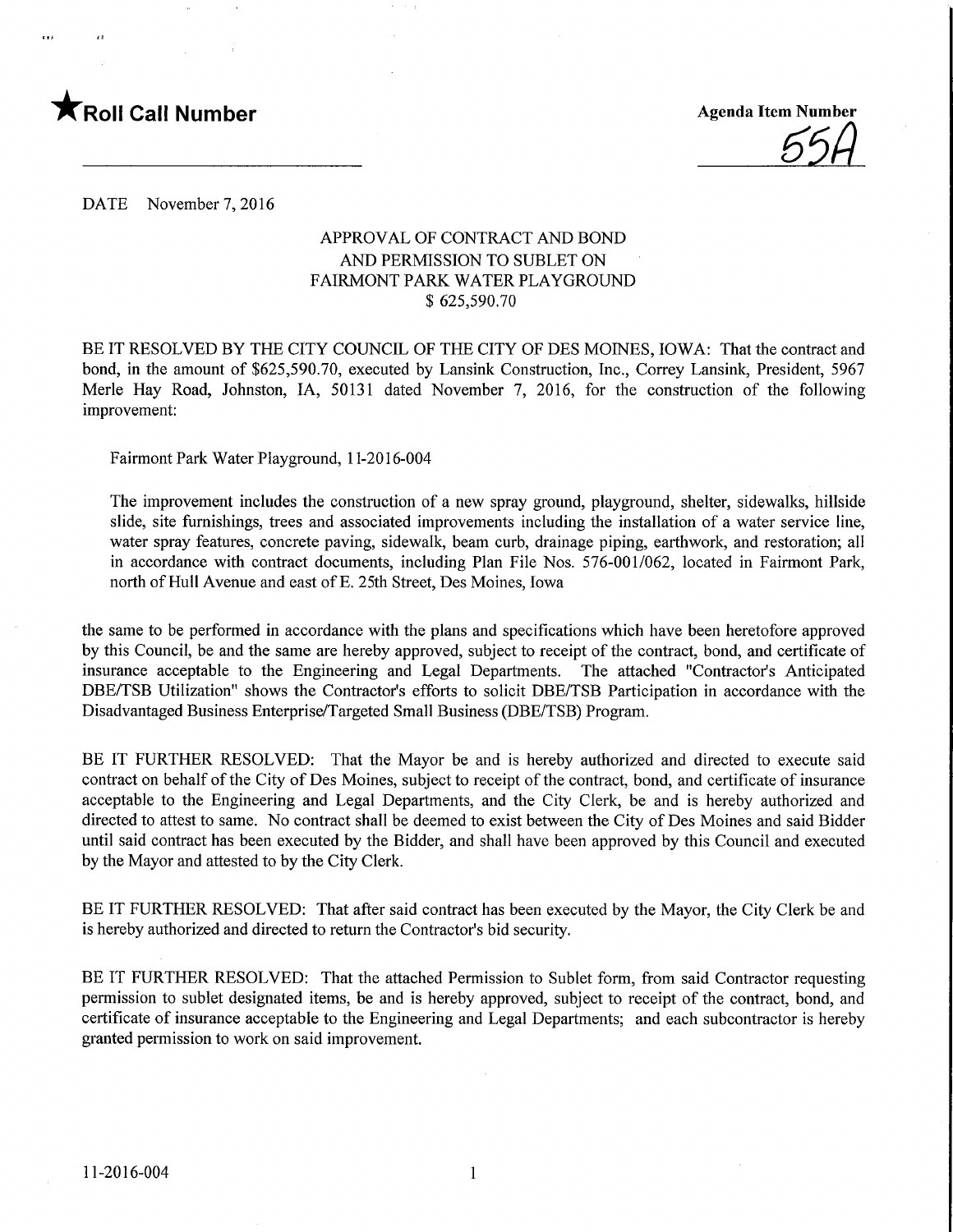

\_5M

DATE November 7, 2016

## APPROVAL OF CONTRACT AND BOND AND PERMISSION TO SUBLET ON FAIRMONT PARK WATER PLAYGROUND \$ 625,590.70

BE IT RESOLVED BY THE CITY COUNCIL OF THE CITY OF DES MOINES, IOWA: That the contract and bond, in the amount of \$625,590.70, executed by Lansink Construction, Inc., Correy Lansink, President, 5967 Merle Hay Road, Johnston, IA, 50131 dated November 7, 2016, for the construction of the following improvement:

Fairmont Park Water Playground, 1 1-2016-004

The improvement includes the construction of a new spray ground, playground, shelter, sidewalks, hillside slide, site furnishings, trees and associated improvements including the installation of a water service line, water spray features, concrete paving, sidewalk, beam curb, drainage piping, earthwork, and restoration; all in accordance with contract documents, including Plan File Nos. 576-001/062, located in Fairmont Park, north of Hull Avenue and east of E. 25th Street, Des Moines, Iowa

the same to be performed in accordance with the plans and specifications which have been heretofore approved by this Council, be and the same are hereby approved, subject to receipt of the contract, bond, and certificate of insurance acceptable to the Engineering and Legal Departments. The attached "Contractor's Anticipated DBE/TSB Utilization" shows the Contractor's efforts to solicit DBE/TSB Participation in accordance with the Disadvantaged Business Enterprise/Targeted Small Business (DBE/TSB) Program.

BE IT FURTHER RESOLVED: That the Mayor be and is hereby authorized and directed to execute said contract on behalf of the City of Des Moines, subject to receipt of the contract, bond, and certificate of insurance acceptable to the Engineering and Legal Departments, and the City Clerk, be and is hereby authorized and directed to attest to same. No contract shall be deemed to exist between the City of Des Moines and said Bidder until said contract has been executed by the Bidder, and shall have been approved by this Council and executed by the Mayor and attested to by the City Clerk.

BE IT FURTHER RESOLVED: That after said contract has been executed by the Mayor, the City Clerk be and is hereby authorized and directed to return the Contractor's bid security.

BE IT FURTHER RESOLVED: That the attached Permission to Sublet form, from said Contractor requesting permission to sublet designated items, be and is hereby approved, subject to receipt of the contract, bond, and certificate of insurance acceptable to the Engineering and Legal Departments; and each subcontractor is hereby granted permission to work on said improvement.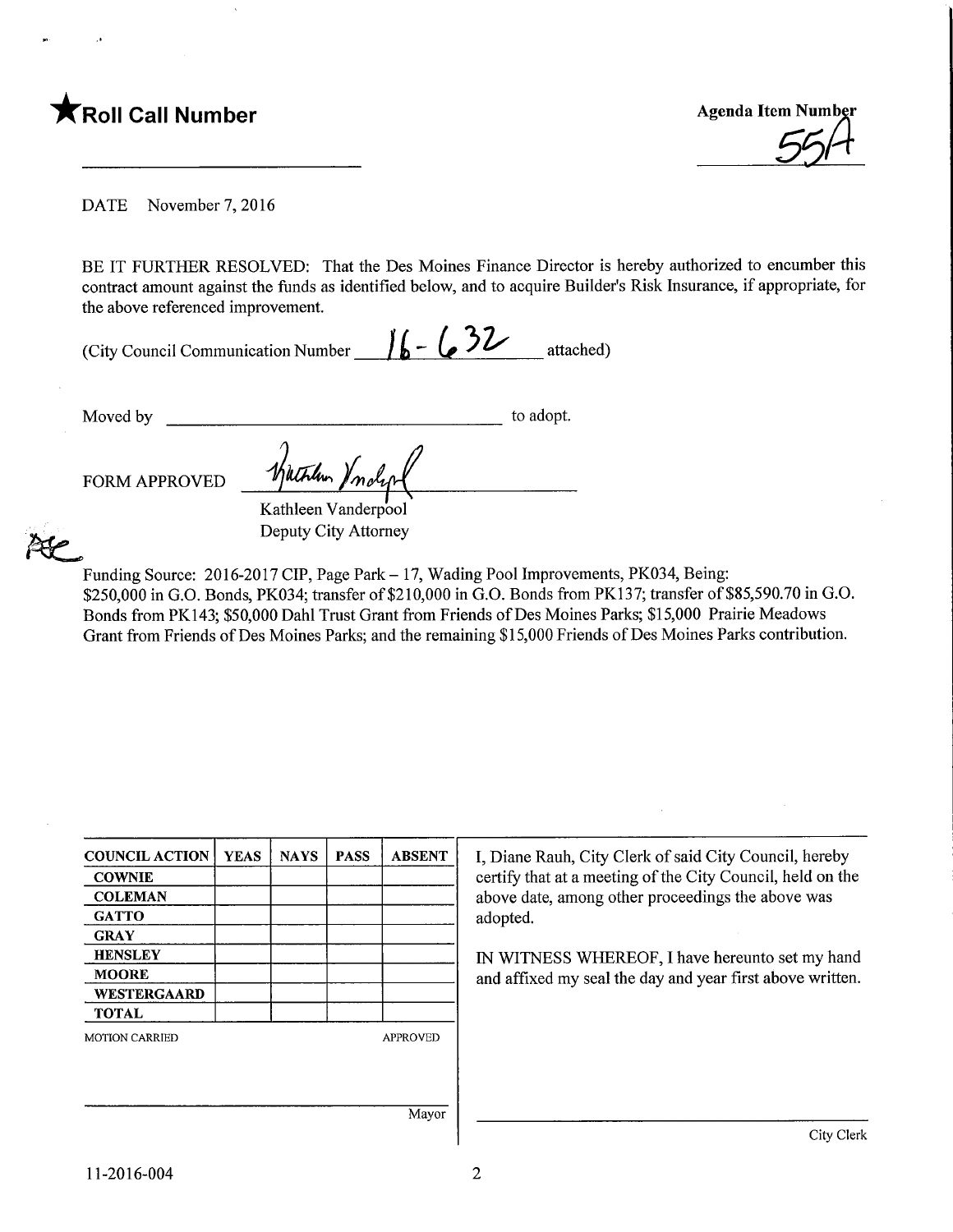

DATE November 7, 2016

BE IT FURTHER RESOLVED: That the Des Moines Finance Director is hereby authorized to encumber this contract amount against the funds as identified below, and to acquire Builder's Risk Insurance, if appropriate, for the above referenced improvement.

(City Council Communication Number  $\frac{1}{6}$  -  $\frac{32}{4}$  attached)

Moved by to adopt.

FORM APPROVED

Kathleen Vanderpool Deputy City Attorney

 $^{\prime}$ mol

Wither )

Funding Source: 2016-2017 CIP, Page Park - 17, Wading Pool Improvements, PK034, Being: \$250,000 in G.O. Bonds, PK034; transfer of \$210,000 in G.O. Bonds from PK137; transfer of \$85,590.70 in G.O. Bonds from PK143; \$50,000 Dahl Trust Grant from Friends of Des Moines Parks; \$15,000 Prairie Meadows Grant from Friends of Des Moines Parks; and the remaining \$15,000 Friends of Des Moines Parks contribution.

| <b>COUNCIL ACTION</b> | <b>YEAS</b> | <b>NAYS</b> | <b>PASS</b> | <b>ABSENT</b>   |
|-----------------------|-------------|-------------|-------------|-----------------|
| <b>COWNIE</b>         |             |             |             |                 |
| <b>COLEMAN</b>        |             |             |             |                 |
| <b>GATTO</b>          |             |             |             |                 |
| <b>GRAY</b>           |             |             |             |                 |
| <b>HENSLEY</b>        |             |             |             |                 |
| <b>MOORE</b>          |             |             |             |                 |
| WESTERGAARD           |             |             |             |                 |
| <b>TOTAL</b>          |             |             |             |                 |
| <b>MOTION CARRIED</b> |             |             |             | <b>APPROVED</b> |
|                       |             |             |             |                 |
|                       |             |             |             |                 |
|                       |             |             |             | Mayor           |

I, Diane Rauh, City Clerk of said City Council, hereby certify that at a meeting of the City Council, held on the above date, among other proceedings the above was adopted.

IN WITNESS WHEREOF, I have hereunto set my hand and affixed my seal the day and year first above written.

Mayor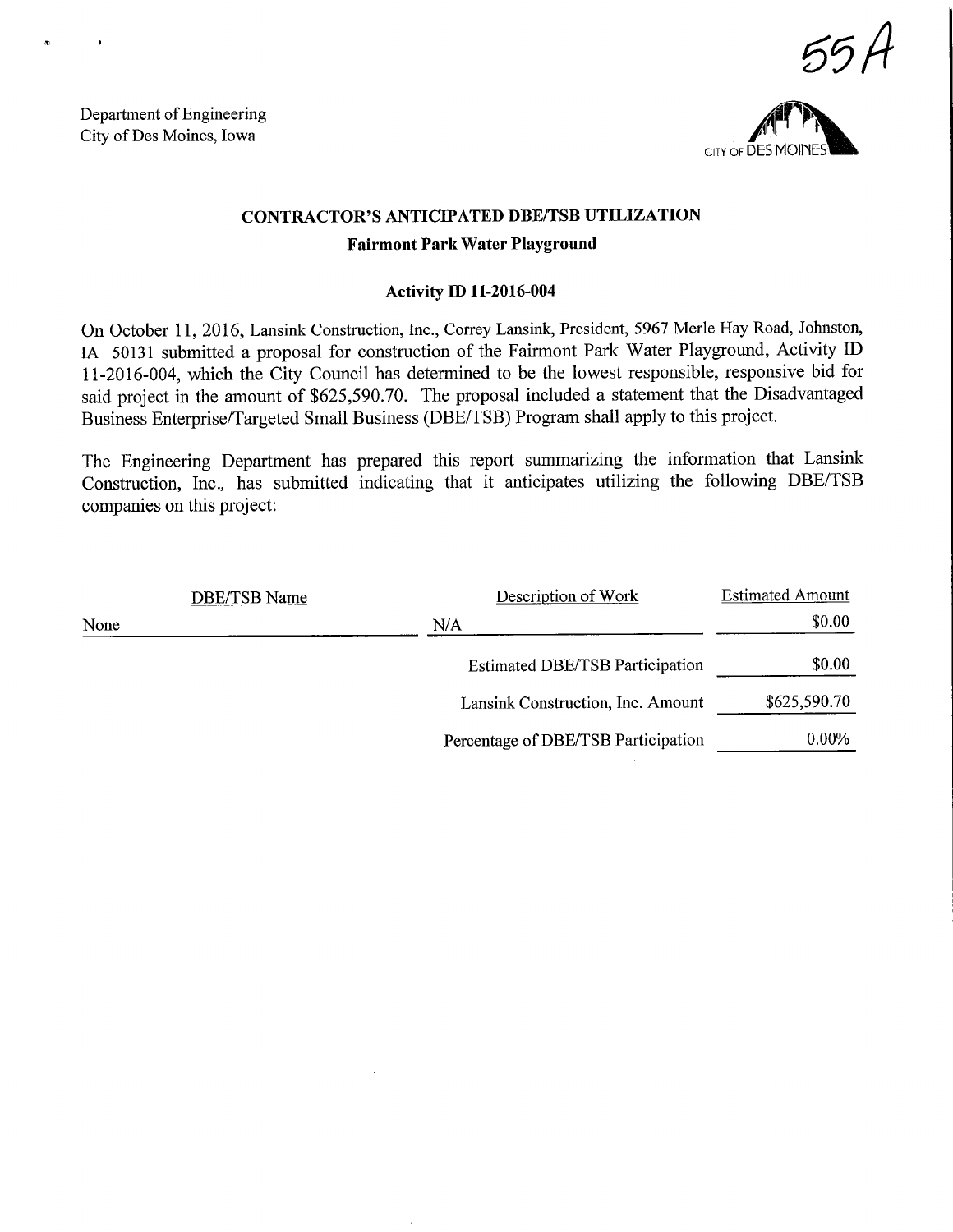Department of Engineering City of Des Moines, Iowa





# CONTRACTOR'S ANTICIPATED DBE/TSB UTILIZATION

# Fairmont Park Water Playground

# Activity ED 11-2016-004

On October 11, 2016, Lansink Construction, Inc., Correy Lansink, President, 5967 Merle Hay Road, Johnston, LA 50131 submitted a proposal for construction of the Fairmont Park Water Playground, Activity ID 11-2016-004, which the City Council has determined to be the lowest responsible, responsive bid for said project in the amount of \$625,590.70. The proposal included a statement that the Disadvantaged Business Enterprise/Targeted Small Business (DBE/TSB) Program shall apply to this project.

The Engineering Department has prepared this report summarizing the information that Lansink Construction, Inc., has submitted indicating that it anticipates utilizing the following DBE/TSB companies on this project:

|      | <b>DBE/TSB Name</b> | Description of Work                    | <b>Estimated Amount</b> |
|------|---------------------|----------------------------------------|-------------------------|
| None |                     | N/A                                    | \$0.00                  |
|      |                     | <b>Estimated DBE/TSB Participation</b> | \$0.00                  |
|      |                     | Lansink Construction, Inc. Amount      | \$625,590.70            |
|      |                     | Percentage of DBE/TSB Participation    | $0.00\%$                |